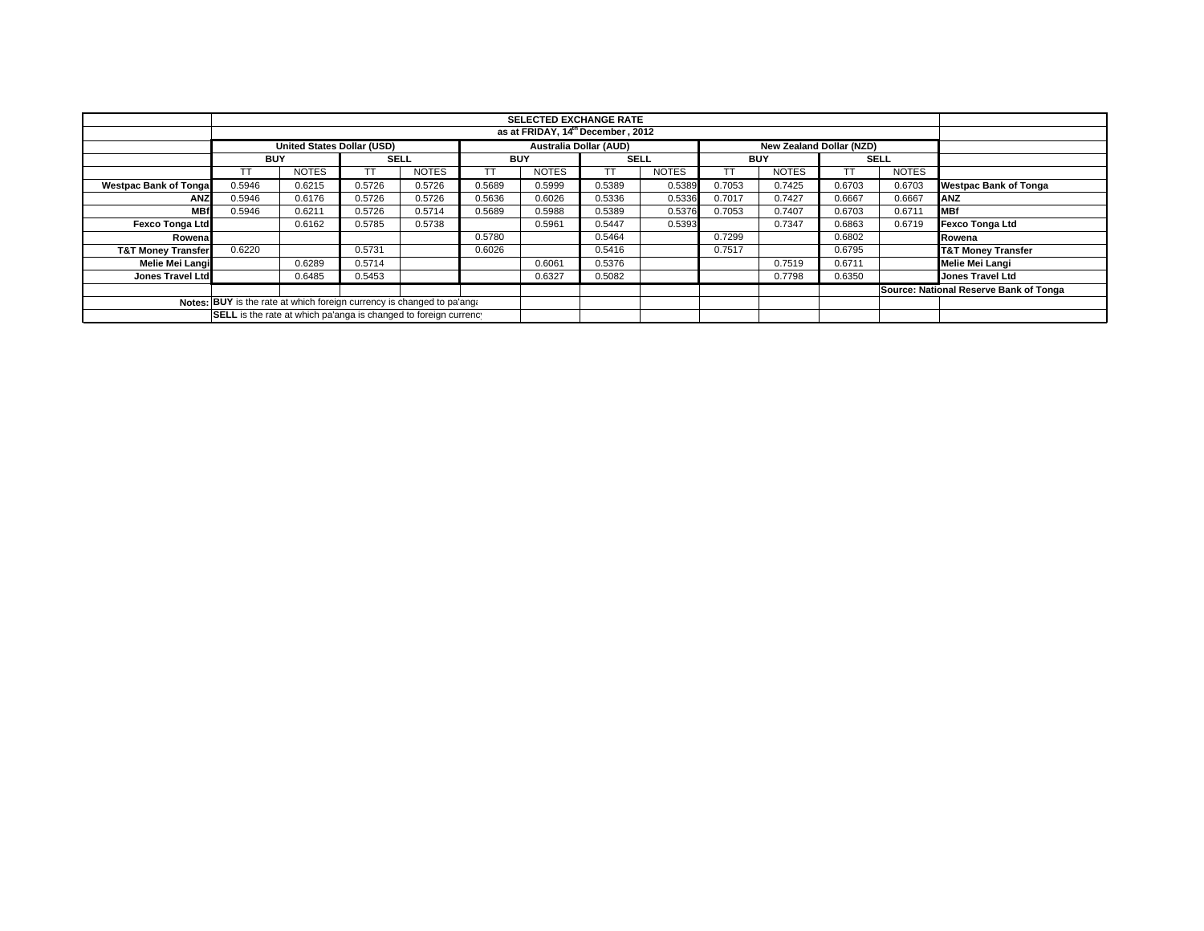| <b>SELECTED EXCHANGE RATE</b>                                          |            |                                   |             |              |            |                               |             |              |                          |              |             |              |                                        |
|------------------------------------------------------------------------|------------|-----------------------------------|-------------|--------------|------------|-------------------------------|-------------|--------------|--------------------------|--------------|-------------|--------------|----------------------------------------|
| as at FRIDAY, 14th December, 2012                                      |            |                                   |             |              |            |                               |             |              |                          |              |             |              |                                        |
|                                                                        |            | <b>United States Dollar (USD)</b> |             |              |            | <b>Australia Dollar (AUD)</b> |             |              | New Zealand Dollar (NZD) |              |             |              |                                        |
|                                                                        | <b>BUY</b> |                                   | <b>SELL</b> |              | <b>BUY</b> |                               | <b>SELL</b> |              | <b>BUY</b>               |              | <b>SELL</b> |              |                                        |
|                                                                        | TТ         | <b>NOTES</b>                      |             | <b>NOTES</b> |            | <b>NOTES</b>                  | ТT          | <b>NOTES</b> |                          | <b>NOTES</b> |             | <b>NOTES</b> |                                        |
| <b>Westpac Bank of Tongal</b>                                          | 0.5946     | 0.6215                            | 0.5726      | 0.5726       | 0.5689     | 0.5999                        | 0.5389      | 0.5389       | 0.7053                   | 0.7425       | 0.6703      | 0.6703       | <b>Westpac Bank of Tonga</b>           |
| <b>ANZ</b>                                                             | 0.5946     | 0.6176                            | 0.5726      | 0.5726       | 0.5636     | 0.6026                        | 0.5336      | 0.5336       | 0.7017                   | 0.7427       | 0.6667      | 0.6667       | <b>ANZ</b>                             |
| <b>MBf</b>                                                             | 0.5946     | 0.6211                            | 0.5726      | 0.5714       | 0.5689     | 0.5988                        | 0.5389      | 0.5376       | 0.7053                   | 0.7407       | 0.6703      | 0.6711       | <b>MBf</b>                             |
| <b>Fexco Tonga Ltd</b>                                                 |            | 0.6162                            | 0.5785      | 0.5738       |            | 0.5961                        | 0.5447      | 0.5393       |                          | 0.7347       | 0.6863      | 0.6719       | <b>Fexco Tonga Ltd</b>                 |
| Rowenal                                                                |            |                                   |             |              | 0.5780     |                               | 0.5464      |              | 0.7299                   |              | 0.6802      |              | Rowena                                 |
| <b>T&amp;T Money Transfer</b>                                          | 0.6220     |                                   | 0.5731      |              | 0.6026     |                               | 0.5416      |              | 0.7517                   |              | 0.6795      |              | <b>T&amp;T Money Transfer</b>          |
| Melie Mei Langi                                                        |            | 0.6289                            | 0.5714      |              |            | 0.6061                        | 0.5376      |              |                          | 0.7519       | 0.6711      |              | Melie Mei Langi                        |
| Jones Travel Ltd                                                       |            | 0.6485                            | 0.5453      |              |            | 0.6327                        | 0.5082      |              |                          | 0.7798       | 0.6350      |              | <b>Jones Travel Ltd</b>                |
|                                                                        |            |                                   |             |              |            |                               |             |              |                          |              |             |              | Source: National Reserve Bank of Tonga |
| Notes: BUY is the rate at which foreign currency is changed to pa'ang: |            |                                   |             |              |            |                               |             |              |                          |              |             |              |                                        |
| SELL is the rate at which pa'anga is changed to foreign currency       |            |                                   |             |              |            |                               |             |              |                          |              |             |              |                                        |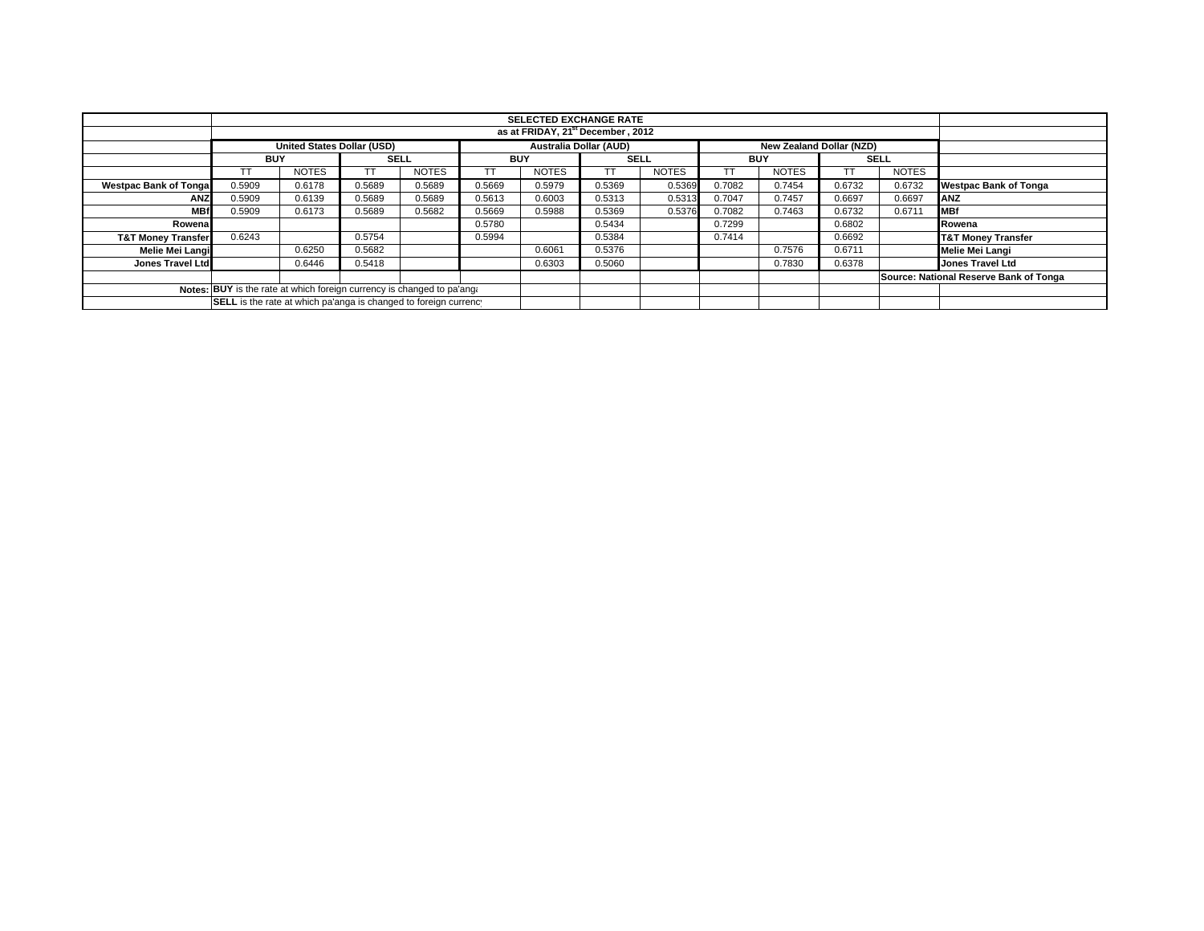| <b>SELECTED EXCHANGE RATE</b>                                          |                                                                                         |              |             |              |            |              |             |              |            |              |             |              |                                        |
|------------------------------------------------------------------------|-----------------------------------------------------------------------------------------|--------------|-------------|--------------|------------|--------------|-------------|--------------|------------|--------------|-------------|--------------|----------------------------------------|
| as at FRIDAY, 21 <sup>st</sup> December, 2012                          |                                                                                         |              |             |              |            |              |             |              |            |              |             |              |                                        |
|                                                                        | <b>United States Dollar (USD)</b><br>Australia Dollar (AUD)<br>New Zealand Dollar (NZD) |              |             |              |            |              |             |              |            |              |             |              |                                        |
|                                                                        | <b>BUY</b>                                                                              |              | <b>SELL</b> |              | <b>BUY</b> |              | <b>SELL</b> |              | <b>BUY</b> |              | <b>SELL</b> |              |                                        |
|                                                                        | TТ                                                                                      | <b>NOTES</b> |             | <b>NOTES</b> |            | <b>NOTES</b> | ТT          | <b>NOTES</b> |            | <b>NOTES</b> |             | <b>NOTES</b> |                                        |
| <b>Westpac Bank of Tongal</b>                                          | 0.5909                                                                                  | 0.6178       | 0.5689      | 0.5689       | 0.5669     | 0.5979       | 0.5369      | 0.5369       | 0.7082     | 0.7454       | 0.6732      | 0.6732       | <b>Westpac Bank of Tonga</b>           |
| <b>ANZ</b>                                                             | 0.5909                                                                                  | 0.6139       | 0.5689      | 0.5689       | 0.5613     | 0.6003       | 0.5313      | 0.5313       | 0.7047     | 0.7457       | 0.6697      | 0.6697       | ANZ                                    |
| <b>MBf</b>                                                             | 0.5909                                                                                  | 0.6173       | 0.5689      | 0.5682       | 0.5669     | 0.5988       | 0.5369      | 0.5376       | 0.7082     | 0.7463       | 0.6732      | 0.6711       | <b>MBf</b>                             |
| Rowenal                                                                |                                                                                         |              |             |              | 0.5780     |              | 0.5434      |              | 0.7299     |              | 0.6802      |              | Rowena                                 |
| <b>T&amp;T Money Transfer</b>                                          | 0.6243                                                                                  |              | 0.5754      |              | 0.5994     |              | 0.5384      |              | 0.7414     |              | 0.6692      |              | <b>T&amp;T Money Transfer</b>          |
| Melie Mei Langi                                                        |                                                                                         | 0.6250       | 0.5682      |              |            | 0.6061       | 0.5376      |              |            | 0.7576       | 0.6711      |              | Melie Mei Langi                        |
| Jones Travel Ltd                                                       |                                                                                         | 0.6446       | 0.5418      |              |            | 0.6303       | 0.5060      |              |            | 0.7830       | 0.6378      |              | <b>Jones Travel Ltd</b>                |
|                                                                        |                                                                                         |              |             |              |            |              |             |              |            |              |             |              | Source: National Reserve Bank of Tonga |
| Notes: BUY is the rate at which foreign currency is changed to pa'ang: |                                                                                         |              |             |              |            |              |             |              |            |              |             |              |                                        |
| SELL is the rate at which pa'anga is changed to foreign currency       |                                                                                         |              |             |              |            |              |             |              |            |              |             |              |                                        |